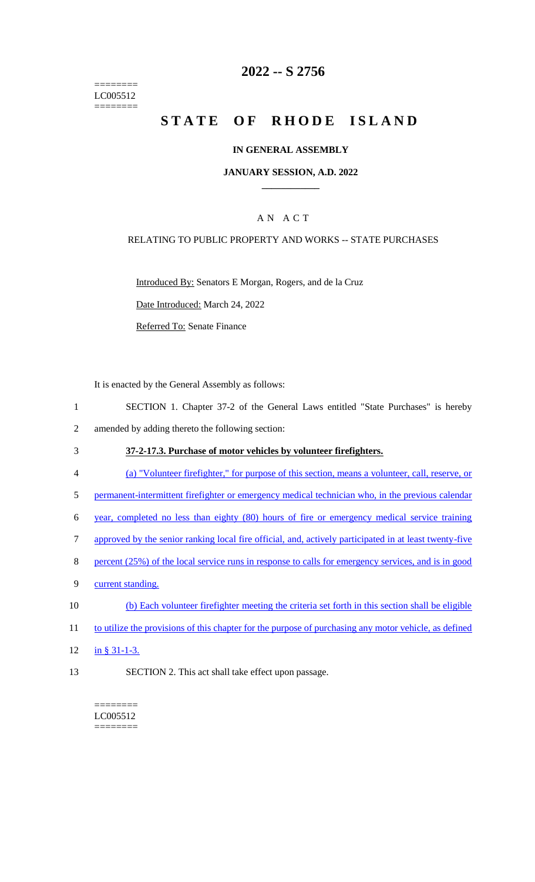======== LC005512 ========

### **2022 -- S 2756**

# **STATE OF RHODE ISLAND**

#### **IN GENERAL ASSEMBLY**

#### **JANUARY SESSION, A.D. 2022 \_\_\_\_\_\_\_\_\_\_\_\_**

### A N A C T

#### RELATING TO PUBLIC PROPERTY AND WORKS -- STATE PURCHASES

Introduced By: Senators E Morgan, Rogers, and de la Cruz

Date Introduced: March 24, 2022

Referred To: Senate Finance

It is enacted by the General Assembly as follows:

- 1 SECTION 1. Chapter 37-2 of the General Laws entitled "State Purchases" is hereby 2 amended by adding thereto the following section:
- 3 **37-2-17.3. Purchase of motor vehicles by volunteer firefighters.**
- 4 (a) "Volunteer firefighter," for purpose of this section, means a volunteer, call, reserve, or
- 5 permanent-intermittent firefighter or emergency medical technician who, in the previous calendar
- 6 year, completed no less than eighty (80) hours of fire or emergency medical service training
- 7 approved by the senior ranking local fire official, and, actively participated in at least twenty-five
- 8 percent (25%) of the local service runs in response to calls for emergency services, and is in good
- 9 current standing.
- 10 (b) Each volunteer firefighter meeting the criteria set forth in this section shall be eligible
- 11 to utilize the provisions of this chapter for the purpose of purchasing any motor vehicle, as defined
- 12 in § 31-1-3.
- 13 SECTION 2. This act shall take effect upon passage.

======== LC005512  $=$